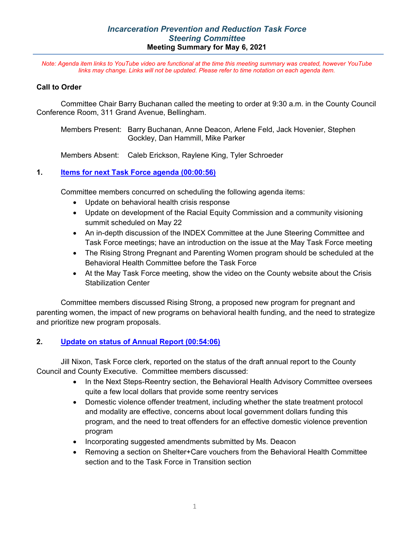## *Incarceration Prevention and Reduction Task Force Steering Committee* **Meeting Summary for May 6, 2021**

*Note: Agenda item links to YouTube video are functional at the time this meeting summary was created, however YouTube links may change. Links will not be updated. Please refer to time notation on each agenda item.*

## **Call to Order**

Committee Chair Barry Buchanan called the meeting to order at 9:30 a.m. in the County Council Conference Room, 311 Grand Avenue, Bellingham.

Members Present: Barry Buchanan, Anne Deacon, Arlene Feld, Jack Hovenier, Stephen Gockley, Dan Hammill, Mike Parker

Members Absent: Caleb Erickson, Raylene King, Tyler Schroeder

## **1. [Items for next Task Force agenda](https://youtu.be/sBUCUzmh1e0?t=57) (00:00:56)**

Committee members concurred on scheduling the following agenda items:

- Update on behavioral health crisis response
- Update on development of the Racial Equity Commission and a community visioning summit scheduled on May 22
- An in-depth discussion of the INDEX Committee at the June Steering Committee and Task Force meetings; have an introduction on the issue at the May Task Force meeting
- The Rising Strong Pregnant and Parenting Women program should be scheduled at the Behavioral Health Committee before the Task Force
- At the May Task Force meeting, show the video on the County website about the Crisis Stabilization Center

Committee members discussed Rising Strong, a proposed new program for pregnant and parenting women, the impact of new programs on behavioral health funding, and the need to strategize and prioritize new program proposals.

## **2. [Update on status of Annual Report](https://youtu.be/sBUCUzmh1e0?t=3246) (00:54:06)**

Jill Nixon, Task Force clerk, reported on the status of the draft annual report to the County Council and County Executive. Committee members discussed:

- In the Next Steps-Reentry section, the Behavioral Health Advisory Committee oversees quite a few local dollars that provide some reentry services
- Domestic violence offender treatment, including whether the state treatment protocol and modality are effective, concerns about local government dollars funding this program, and the need to treat offenders for an effective domestic violence prevention program
- Incorporating suggested amendments submitted by Ms. Deacon
- Removing a section on Shelter+Care vouchers from the Behavioral Health Committee section and to the Task Force in Transition section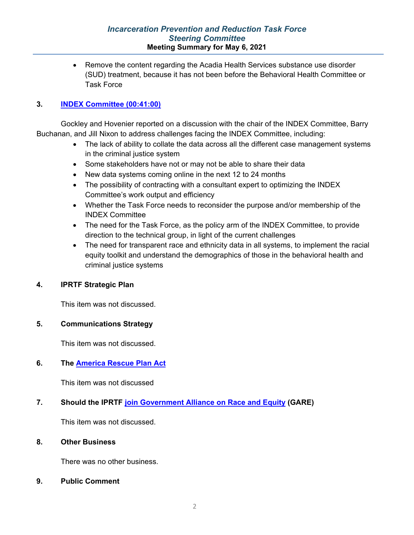## *Incarceration Prevention and Reduction Task Force Steering Committee* **Meeting Summary for May 6, 2021**

• Remove the content regarding the Acadia Health Services substance use disorder (SUD) treatment, because it has not been before the Behavioral Health Committee or Task Force

## **3. [INDEX Committee](https://youtu.be/sBUCUzmh1e0?t=2459) (00:41:00)**

Gockley and Hovenier reported on a discussion with the chair of the INDEX Committee, Barry Buchanan, and Jill Nixon to address challenges facing the INDEX Committee, including:

- The lack of ability to collate the data across all the different case management systems in the criminal justice system
- Some stakeholders have not or may not be able to share their data
- New data systems coming online in the next 12 to 24 months
- The possibility of contracting with a consultant expert to optimizing the INDEX Committee's work output and efficiency
- Whether the Task Force needs to reconsider the purpose and/or membership of the INDEX Committee
- The need for the Task Force, as the policy arm of the INDEX Committee, to provide direction to the technical group, in light of the current challenges
- The need for transparent race and ethnicity data in all systems, to implement the racial equity toolkit and understand the demographics of those in the behavioral health and criminal justice systems

## **4. IPRTF Strategic Plan**

This item was not discussed.

#### **5. Communications Strategy**

This item was not discussed.

## **6. The [America Rescue Plan Act](https://nam11.safelinks.protection.outlook.com/?url=https%3A%2F%2Fwww.naco.org%2Fsites%2Fdefault%2Ffiles%2Fdocuments%2FNACo%2520Legislative%2520Analysis%2520for%2520Counties_American%2520Rescue%2520Plan%2520Act%2520of%25202021_Final.pdf&data=04%7C01%7CJNixon%40co.whatcom.wa.us%7C8ab8e8f9769b445ce91108d90c09bd98%7C2122bbce9a1d4565931b0c534ef12e43%7C0%7C0%7C637554058233915790%7CUnknown%7CTWFpbGZsb3d8eyJWIjoiMC4wLjAwMDAiLCJQIjoiV2luMzIiLCJBTiI6Ik1haWwiLCJXVCI6Mn0%3D%7C1000&sdata=%2BNjON4%2Fdq%2B0LsCOROOTri%2BJ8%2B%2FLfAhvB9xC3firZSNI%3D&reserved=0)**

This item was not discussed

## **7. Should the IPRTF [join Government Alliance on Race and Equity](https://www.racialequityalliance.org/members/join/) (GARE)**

This item was not discussed.

#### **8. Other Business**

There was no other business.

**9. Public Comment**